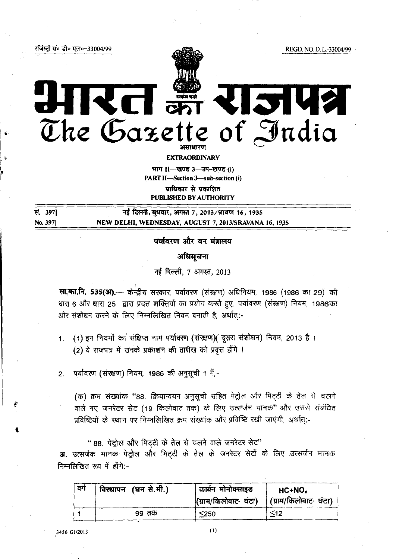रजिंस्ट्री सं० डी० एल०-33004/99

REGD. NO. D. L.-33004/99

# **Links** LI ST V  $\begin{picture}(180,10) \put(0,0){\line(1,0){150}} \put(10,0){\line(1,0){150}} \put(10,0){\line(1,0){150}} \put(10,0){\line(1,0){150}} \put(10,0){\line(1,0){150}} \put(10,0){\line(1,0){150}} \put(10,0){\line(1,0){150}} \put(10,0){\line(1,0){150}} \put(10,0){\line(1,0){150}} \put(10,0){\line(1,0){150}} \put(10,0){\line(1,0){150}}$ The Gazette of India

**EXTRAORDINARY** 

भाग । - खण्ड 3-उप-खण्ड (i) PART II-Section 3-sub-section (i) प्राधिकार से प्रकाशित **PUBLISHED BY AUTHORITY** 

सं. 397] नई दिल्ली, बधवार, अगस्त 7, 2013/श्रावण 16, 1935 NEW DELHI, WEDNESDAY, AUGUST 7, 2013/SRAVANA 16, 1935 No. 397]

## पर्यावरण और वन मंत्रालय

## अधिसूचना

नई दिल्ली, 7 अगस्त, 2013

सा.का.नि. 535(आ.— केन्द्रीय सरकार, पर्यावरण (संख्शण) अधिनियम, 1986 (1986 का 29) की धारा 6 और धारा 25 द्वारा प्रदत्त शक्तियों का प्रयोग करते हुए, पर्यावरण (संरक्षण) नियम, 1986का और संशोधन करने के लिए निम्नलिखित नियम बनाती है, अर्थात:-

- (1) इन नियमों का संक्षिप्त नाम पर्यावरण (संरक्षण)( दूसरा संशोधन) नियम, 2013 है।  $1<sup>1</sup>$ (2) ये राजपत्र में उनके प्रकाशन की तारीख को प्रवृत्त होंगे ।
- 2. पर्यावरण (संरक्षण) नियम, 1986 की अनुसूची 1 में,-

(क) क्रम संख्यांक "88. क्रियान्वयन अनुसूची सहित पेट्रोल और मिट्टी के तेल से चलने वाले नए जनरेटर सेट (19 किलोवाट तक) के लिए उत्सर्जन मानक" और उससे संबंधित प्रविष्टियों के स्थान पर निम्नलिखित क्रम संख्यांक और प्रविष्टि रखी जाएंगी, अर्थात:-

"88. पेटोल और मिटटी के तेल से चलने वाले जनरेटर सेट" **अ.** उत्सर्जक मानक पेट्रोल और मिटटी के तेल के जनरेटर सेटों के लिए उत्सर्जन मानक निम्नलिखित रूप में होंगे:-

| वर्ग | विस्थापन (घन से.मी.) | कार्बन मोनोक्साइड<br>(ग्राम/किलोवाट- घंटा) | $HC+NOx$<br><sup>\</sup>   (ग्राम/किलोवाट- घंटा) |
|------|----------------------|--------------------------------------------|--------------------------------------------------|
|      | ९९ तक                | $250$                                      |                                                  |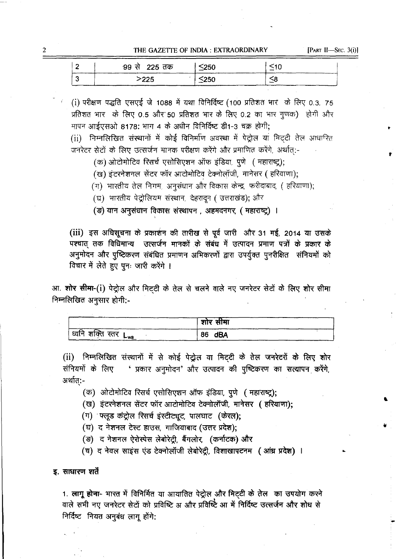THE GAZETTE OF INDIA: EXTRAORDINARY

[PART II-SEC.  $3(i)$ ]

| 99 से  225 तक | $\leq$ 250 |  |
|---------------|------------|--|
| >225          | $\leq$ 250 |  |

(i) परीक्षण पद्धति एसएई जे 1088 में यथा विनिर्दिष्ट (100 प्रतिशत भार के लिए 0.3, 75 प्रतिशत भार के लिए 0.5 और 50 प्रतिशत भार के लिए 0.2 का भार गुणक) होगी और मापन आईएसओ 8178: भाग 4 के अधीन विनिर्दिष्ट डी1-3 चक्र होगी:

(ii) निम्नलिखित संस्थानों में कोई विनिर्माण अवस्था में पेट्रोल या मिट्टी तेल आधारित जनरेटर सेटों के लिए उत्सर्जन मानक परीक्षण करेंगे और प्रमाणित करेंगे, अर्थात:-

(क) ओटोमोटिव रिसर्च एसोसिएशन ऑफ इंडिया. पुणे ( महाराष्ट्र);

(ख) इंटरनेशनल सेंटर फॉर आटोमोटिव टेक्नोलॉजी, मानेसर (हरियाणा);

(ग) भारतीय तेल निगम, अनुसंधान और विकास केन्द्र, फरीदाबाद, (हरियाणा);

(घ) भारतीय पेट्रोलियम संस्थान, देहरादून ( उत्तराखंड); और

(ङ) यान अनुसंधान विकास संस्थापन, अहमदनगर, ( महाराष्ट्र) ।

(iii) इस अधिसूचना के प्रकाशन की तारीख से पूर्व जारी और 31 मई, 2014 या उसके पश्चात् तक विधिमान्य उत्सर्जन मानकों के संबंध में उत्पादन प्रमाण पत्रों के प्रकार के अनुमोदन और पुष्टिकरण संबंधित प्रमाणन अभिकरणों द्वारा उपर्युक्त पुनरीक्षित संनियमों को विचार में लेते हुए पुनः जारी करेंगे ।

आ. **शोर सीमा-(i)** पेट्रोल और मिट्टी के तेल से चलने वाले नए जनरेटर सेटों के लिए शोर सीमा निम्नलिखित अनुसार होगी:-

|                    | शोर सीमा |
|--------------------|----------|
| ' ध्वनि शक्ति स्तर | dBA      |
| ∟wa                | 86       |

(ii) निम्नलिखित संस्थानों में से कोई पेट्रोल या मिट्टी के तेल जनरेटरों के लिए शोर ' प्रकार अनुमोदन' और उत्पादन की पुष्टिकरण का सत्यापन करेंगे, संनियमों के लिए अर्थात:-

(क) ओटोमोटिव रिसर्च एसोसिएशन ऑफ इंडिया, पुणे (महाराष्ट्र);

(ख) इंटरनेशनल सेंटर फॉर आटोमोटिव टेक्नोलॉजी, मानेसर (हरियाणा);

(ग) फ्लूड कंट्रोल रिसर्च इंस्टीट्यूट, पालघाट (केरल);

(घ) द नेशनल टेस्ट हाउस, गाजियाबाद (उत्तर प्रदेश);

(ङ)) द नेशनल ऐरोस्पेस लेबोरेट्री, बैंगलोर, (कर्नाटक) और

(च) द नेवल साइस एंड टेक्नोलॉजी लेबोरेट्री, विशाखापटनम (आंध्र प्रदेश) ।

#### इ. साधारण शर्ते

1. लागू होना- भारत में विनिर्मित या आयातित पेट्रोल और मिटटी के तेल का उपयोग करने वाले सभी नए जनरेटर सेटों को प्रविष्टि अ और प्रविष्टि आ में निर्दिष्ट उत्सर्जन और शोध से निर्दिष्ट नियत अनुबंध लागू होंगे:

 $\overline{2}$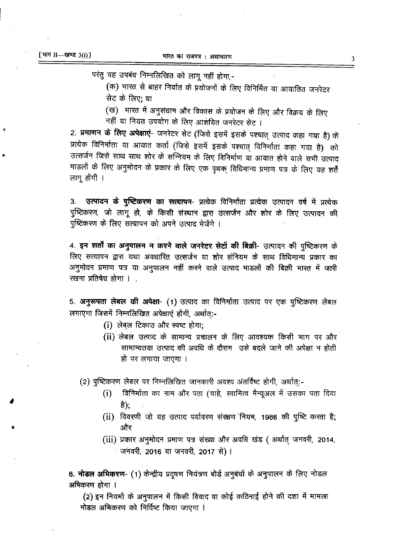परंतु यह उपबंध निम्नलिखित को लागू नहीं होगा,-

(क) भारत से बाहर निर्यात के प्रयोजनों के लिए विनिर्मित या आयातित जनरेटर सेट के लिए: या

(ख) भारत में अनुसंधान और विकास के प्रयोजन के लिए और विक्रय के लिए नहीं या नियत उपयोग के लिए आशंयित जनरेटर सेट ।

2. प्रमाणन के लिए अपेक्षाएं- जनरेटर सेट (जिसे इसमें इसके पश्चात् उत्पाद कहा गया है) के प्रत्येक विनिर्माता या आयात कर्ता (जिसे इसमें इसके पश्चात् विनिर्माता कहा गया है) को उत्सर्जन जिसे साथ साथ शोर के सन्नियम के लिए विनिर्माण या आयात होने वाले सभी उत्पाद माडलों के लिए अनुमोदन के प्रकार के लिए एक पृथक् विधिमान्य प्रमाण पत्र के लिए यह शर्तें लागू होंगी ।

उत्पादन के पुष्टिकरण का सत्यापन- प्रत्येक विनिर्माता प्रत्येक उत्पादन वर्ष में प्रत्येक 3. पुष्टिकरण, जो लागू हो, के किसी संस्थान द्वारा उत्सर्जन और शोर के लिए उत्पादन की पुष्टिकरण के लिए सत्यापन को अपने उत्पाद भेजेंगे ।

4. इन शर्तों का अनुपालन न करने वाले जनरेटर सेटों की बिक्री- उत्पादन की पुष्टिकरण के लिए सत्यापन द्वारा यथा अवधारित उत्सर्जन या शोर संनियम के साथ विधिमान्य प्रकार का अनुमोदन प्रमाण पत्र या अनुपालन नहीं करने वाले उत्पाद माडलों की बिक्री भारत में जारी रखना प्रतिषेध होगा । .

5. अनुरूपता लेबल की अपेक्षा- (1) उत्पाद का विनिर्माता उत्पाद पर एक पुष्टिकरण लेबल लगाएगा जिसमें निम्नलिखित अपेक्षाएं होंगी, अर्थात:-

- (i) लेबल टिकाउ और स्पष्ट होगा;
- (ii) लेबल उत्पाद के सामान्य प्रचालन के लिए आवश्यक किसी भाग पर और सामान्यतया उत्पाद की अवधि के दौरान उसे बदले जाने की अपेक्षा न होती ्हो पर लगाया जाएगा ।

(2) पुष्टिकरण लेबल पर निम्नलिखित जानकारी अवश्य अंतर्विष्ट होगी, अर्थात्:-

- विनिर्माता का नाम और पता (चाहे, स्वामित्व मैन्यूअल में उसका पता दिया  $(i)$ है);
- (ii) विवरणी जो यह उत्पाद पर्यावरण संरक्षण नियम, 1986 की पुष्टि करता है; और
- (iii) प्रकार अनुमोदन प्रमाण पत्र संख्या और अवधि खंड ( अर्थात् जनवरी, 2014, ंजनवरी, 2016 या जनवरी, 2017 से)।

6. नोडल अभिकरण- (1) केन्द्रीय प्रदूषण नियंत्रण बोर्ड अनुबंधों के अनुपालन के लिए नोडल अभिकरण होगा ।

(2) इन नियमों के अनुपालन में किसी विवाद या कोई कठिनाई होने की दशा में मामला नोडल अभिकरण को निर्दिष्ट किया जाएगा ।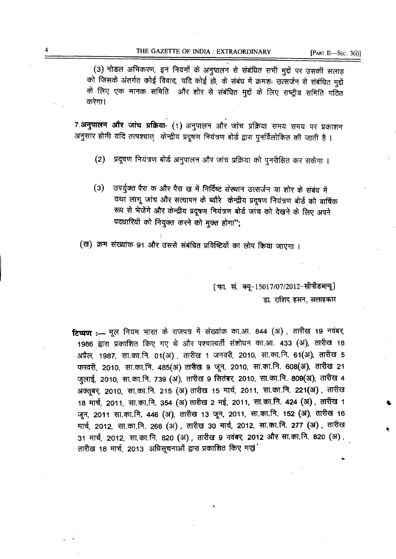(3) नोडल अभिकरण, इन नियमों के अनुपालन से संबंधित सभी मुद्दों पर उसकी सलाह को जिसके अंतर्गत कोई विवाद, यदि कोई हो, के संबंध में क्रमशः उत्सर्जन से संबंधित मुद्दों के लिए एक मानक समिति) और शोर से संबंधित मुद्दों के लिए राष्ट्रीय समिति गठित करेगा।

7.अनुपालन और जांच प्रक्रिया- (1) अनुपालन और जांच प्रक्रिया समय समय पर प्रकाशन अनुसार होगी यदि तत्पश्चात् केन्द्रीय प्रदूषण नियंत्रण बोर्ड द्वारा पुनर्विलोकित की जाती है।

- प्रदूषण नियंत्रण बोर्ड अनुपालन और जांच प्रक्रिया को पुनरीक्षित कर सकेगा ।  $(2)$
- उपर्युक्त पैरा क और पैरा ख में निर्दिष्ट संस्थान उत्सर्जन या शोर के संबंध में  $(3)$ यथा लागू जांच और सत्यापन के ब्यौरे केन्द्रीय प्रदूषण नियंत्रण बोर्ड को वार्षिक रूप से भेजेंगे और केन्द्रीय प्रदूषण नियंत्रण बोर्ड जांच को देखने के लिए अपने पदधारियों को नियुक्त करने को मुक्त होगा";

(ख) क्रम संख्यांक 91 और उससे संबंधित प्रविष्टियों का लोप किया जाएगा ।

[फा. सं. क्यू-15017/07/2012-सीपीडब्ल्यू] डा. राशिद हसन, सलाहकार

टिप्पण :- मूल नियम भारत के राजपत्र में संख्यांक का.आ. 844 (अ), तारीख 19 नवंबर, 1986 द्वारा प्रकाशित किए गए थे और पश्चात्वर्ती संशोधन का.आ. 433 (अ), तारीख 18 अप्रैल, 1987, सा.का.नि. 01(अ), तारीख 1 जनवरी, 2010, सा.का.नि. 61(अ), तारीख 5 फरवरी, 2010, सा.का.नि. 485(अ) तासेख 9 जून, 2010, सा.का.नि. 608(अ), तारीख 21 जुलाई, 2010, सा.का.नि. 739 (अ), तारीख 9 सितंबर, 2010, सा.का.नि. 809(अ), तारीख 4 अक्तूबर, 2010, सा.का.नि. 215 (अ) तारीख 15 मार्च, 2011, सा.का.नि. 221(अ), तारीख 18 मार्च, 2011, सा.का.नि. 354 (अ) तारीख 2 मई, 2011, सा.का.नि. 424 (अ), तारीख 1 जून, 2011 सा.का.नि. 446 (अ), तारीख 13 जून, 2011, सा.का.नि. 152 (अ), तारीख 16 मार्च, 2012, सा.का.नि. 266 (अ), तारीख 30 मार्च, 2012, सा.का.नि. 277 (अ), तारीख 31 मार्च, 2012, सा.का.नि. 820 (अ), तारीख 9 नवंबर, 2012 और सा.का.नि. 820 (अ), तारीख 18 मार्च, 2013 अधिसूचनाओं द्वारा प्रकाशित किए गए।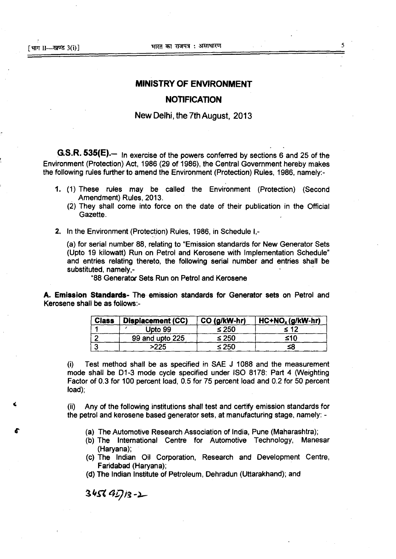### **MINISTRY OF ENVIRONMENT**

#### **NOTIFICATION**

#### **New Delhi, the 7th August, 2013**

**G.S.R. 535(E)**— In exercise of the powers conferred by sections 6 and 25 of the Environment (Protection) Act, 1986 (29 of 1986), the Central Government hereby makes the following rules further to amend the Environment (Protection) Rules, 1986, namely:-

- (1) These rules may be called the Environment (Protection) (Second Amendment) Rules, 2013.
	- (2) They shall come into force on the date of their publication in the Official Gazette.
- 2. In the Environment (Protection) Rules, 1986, in Schedule I,-

(a) for serial number 88, relating to "Emission standards for New Generator Sets (Upto 19 kilowatt) Run on Petrol and Kerosene with Implementation Schedule" and entries relating thereto, the following serial number and entries shall be substituted, namely,-

"88 Generator Sets Run on Petrol and Kerosene

A. **Emission Standards-** The emission standards for Generator sets on Petrol and Kerosene shall be as follows:-

| <b>Class</b> | Displacement (CC) | CO (g/kW-hr) | $HC + NOx (g/kW-hr)$ |
|--------------|-------------------|--------------|----------------------|
|              | Upto 99           | $\leq 250$   |                      |
|              | 99 and upto 225   | ≤ 250        | ≤10                  |
|              | >225              | 250ء ک       |                      |

Test method shall be as specified in SAE J 1088 and the measurement  $(i)$ mode shall be D1-3 mode cycle specified under ISO 8178: Part 4 (Weighting Factor of 0.3 for 100 percent load, 0.5 for 75 percent load and 0.2 for 50 percent load);

Any of the following institutions shall test and certify emission standards for  $(ii)$ the petrol and kerosene based generator sets, at manufacturing stage, namely: -

- The Automotive Research Association of India, Pune (Maharashtra);
- (b) The International Centre for Automotive Technology, Manesar (Haryana);
- The Indian Oil Corporation, Research and Development Centre, Faridabad (Haryana);
- The Indian Institute of Petroleum, Dehradun (Uttarakhand); and

 $3456$   $45/13 - 2$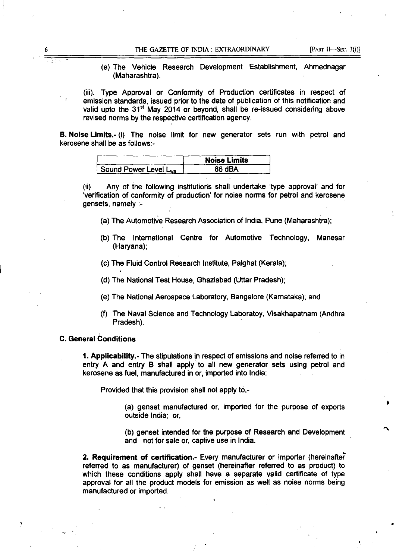(e) The Vehicle Research Development Establishment, Ahmednagar (Maharashtra).

(iii). Type Approval or Conformity of Production certificates in respect of emission standards, issued prior to the date of publication of this notification and valid upto the  $31<sup>st</sup>$  May 2014 or beyond, shall be re-issued considering above revised norms by the respective certification agency.

B. Noise Limits.- (i) The noise limit for new generator sets run with petrol and kerosene shall be as follows:-

|                       | <b>Noise Limits</b> |  |
|-----------------------|---------------------|--|
| Sound Power Level Lwa | 86 dBA              |  |

(ii) Any of the following institutions shall undertake 'type approval' and for Verification of conformity of production' for noise norms for petrol and kerosene gensets, namely :-

- (a) The Automotive Research Association of India, Pune (Maharashtra);
- (b) The International Centre for Automotive Technology, Manesar (Haryana);
- The Fluid Control Research Institute, Palghat (Kerala);
- (d) The National Test House, Ghaziabad (Uttar Pradesh);
- The National Aerospace Laboratory, Bangalore (Karnataka); and
- The Naval Science and Technology Laboratoy, Visakhapatnam (Andhra Pradesh).

#### C. **General Conditions**

1. Applicability.- The stipulations in respect of emissions and noise referred to in entry A and entry B shall apply to all new generator sets using petrol and kerosene as fuel, manufactured in or, imported into India:

Provided that this provision shall not apply to,-

(a) genset manufactured or, imported for the purpose of exports outside India; or,

(b) genset intended for the purpose of Research and Development and not for sale or, captive use in India.

**2. Requirement of certification.-** Every manufacturer or importer (hereinafter referred to as manufacturer) of genset (hereinafter referred to as product) to which these conditions apply shall have a separate valid certificate of type approval for all the product models for emission as well as noise norms being manufactured or imported.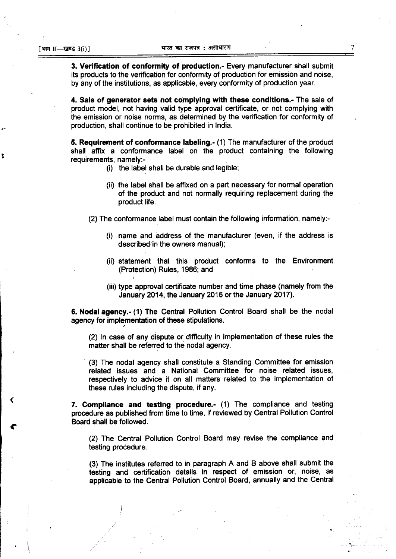f,

**Verification of conformity of production.-** Every manufacturer shall submit its products to the verification for conformity of production for emission and noise, by any of the institutions, as applicable, every conformity of production year.

**Sale of generator sets not complying with these conditions.-** The sale of product model, not having valid type approval certificate, or not complying with the emission or noise norms, as determined by the verification for conformity of production, shall continue to be prohibited in India.

**5. Requirement of conformance labeling.-** (1) The manufacturer of the product shall affix a conformance label on the product containing the following requirements, namely:-

- $(i)$  the label shall be durable and legible;
- (ii) the label shall be affixed on a part necessary for normal operation of the product and not normally requiring replacement during the product life.

(2) The conformance label must contain the following information, namely:-

- name and address of the manufacturer (even, if the address is described in the owners manual);
- (ii) statement that this product conforms to the Environment (Protection) Rules, 1986; and
- (iii) type approval certificate number and time phase (namely from the January 2014, the January 2016 or the January 2017).

**6. Nodal agency.-** (1) The Central Pollution Control Board shall be the nodal agency for implementation of these stipulations.

(2) In case of any dispute or difficulty in implementation of these rules the matter shall be referred to the nodal agency.

(3) The nodal agency shall constitute a Standing Committee for emission related issues and a National Committee for noise related issues, respectively to advice it on all matters related to the implementation of these rules including the dispute, if any.

7. **Compliance and testing procedure.-** (1) The compliance and testing procedure as published from time to time, if reviewed by Central Pollution Control Board shall be followed.

(2) The Central Pollution Control Board may revise the compliance and testing procedure.

The institutes referred to in paragraph A and B above shall submit the testing and certification details in respect of emission or, noise, as applicable to the Central Pollution Control Board, annually and the Central